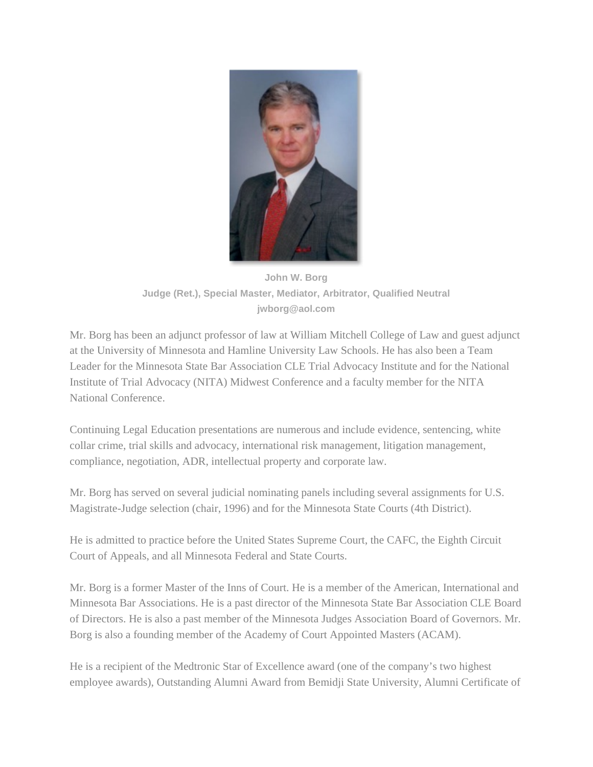

**John W. Borg Judge (Ret.), Special Master, Mediator, Arbitrator, Qualified Neutral jwborg@aol.com**

Mr. Borg has been an adjunct professor of law at William Mitchell College of Law and guest adjunct at the University of Minnesota and Hamline University Law Schools. He has also been a Team Leader for the Minnesota State Bar Association CLE Trial Advocacy Institute and for the National Institute of Trial Advocacy (NITA) Midwest Conference and a faculty member for the NITA National Conference.

Continuing Legal Education presentations are numerous and include evidence, sentencing, white collar crime, trial skills and advocacy, international risk management, litigation management, compliance, negotiation, ADR, intellectual property and corporate law.

Mr. Borg has served on several judicial nominating panels including several assignments for U.S. Magistrate-Judge selection (chair, 1996) and for the Minnesota State Courts (4th District).

He is admitted to practice before the United States Supreme Court, the CAFC, the Eighth Circuit Court of Appeals, and all Minnesota Federal and State Courts.

Mr. Borg is a former Master of the Inns of Court. He is a member of the American, International and Minnesota Bar Associations. He is a past director of the Minnesota State Bar Association CLE Board of Directors. He is also a past member of the Minnesota Judges Association Board of Governors. Mr. Borg is also a founding member of the Academy of Court Appointed Masters (ACAM).

He is a recipient of the Medtronic Star of Excellence award (one of the company's two highest employee awards), Outstanding Alumni Award from Bemidji State University, Alumni Certificate of